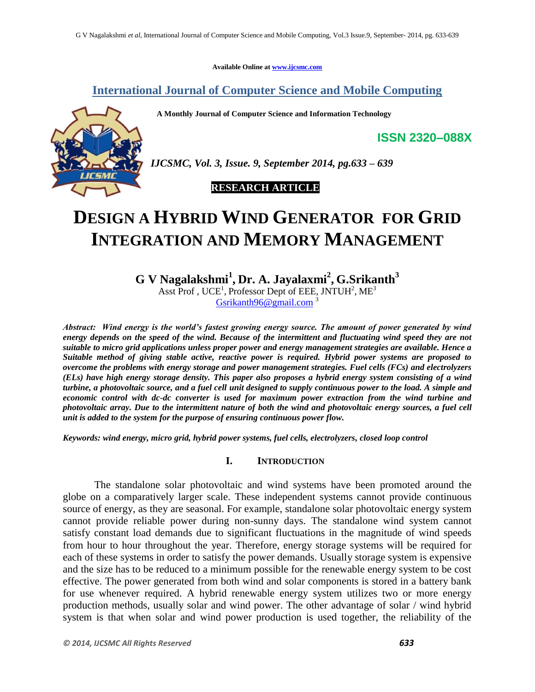**Available Online at www.ijcsmc.com**

**International Journal of Computer Science and Mobile Computing**

 **A Monthly Journal of Computer Science and Information Technology**



*IJCSMC, Vol. 3, Issue. 9, September 2014, pg.633 – 639*

# **RESEARCH ARTICLE**

# **DESIGN A HYBRID WIND GENERATOR FOR GRID INTEGRATION AND MEMORY MANAGEMENT**

**G V Nagalakshmi<sup>1</sup> , Dr. A. Jayalaxmi<sup>2</sup> , G.Srikanth<sup>3</sup>** Asst Prof, UCE<sup>1</sup>, Professor Dept of EEE, JNTUH<sup>2</sup>, ME<sup>3</sup> Gsrikanth96@gmail.com<sup>3</sup>

*Abstract: Wind energy is the world's fastest growing energy source. The amount of power generated by wind energy depends on the speed of the wind. Because of the intermittent and fluctuating wind speed they are not suitable to micro grid applications unless proper power and energy management strategies are available. Hence a Suitable method of giving stable active, reactive power is required. Hybrid power systems are proposed to overcome the problems with energy storage and power management strategies. Fuel cells (FCs) and electrolyzers (ELs) have high energy storage density. This paper also proposes a hybrid energy system consisting of a wind turbine, a photovoltaic source, and a fuel cell unit designed to supply continuous power to the load. A simple and economic control with dc-dc converter is used for maximum power extraction from the wind turbine and photovoltaic array. Due to the intermittent nature of both the wind and photovoltaic energy sources, a fuel cell unit is added to the system for the purpose of ensuring continuous power flow.*

*Keywords: wind energy, micro grid, hybrid power systems, fuel cells, electrolyzers, closed loop control*

## **I. INTRODUCTION**

The standalone solar photovoltaic and wind systems have been promoted around the globe on a comparatively larger scale. These independent systems cannot provide continuous source of energy, as they are seasonal. For example, standalone solar photovoltaic energy system cannot provide reliable power during non-sunny days. The standalone wind system cannot satisfy constant load demands due to significant fluctuations in the magnitude of wind speeds from hour to hour throughout the year. Therefore, energy storage systems will be required for each of these systems in order to satisfy the power demands. Usually storage system is expensive and the size has to be reduced to a minimum possible for the renewable energy system to be cost effective. The power generated from both wind and solar components is stored in a battery bank for use whenever required. A hybrid renewable energy system utilizes two or more energy production methods, usually solar and wind power. The other advantage of solar / wind hybrid system is that when solar and wind power production is used together, the reliability of the

**ISSN 2320–088X**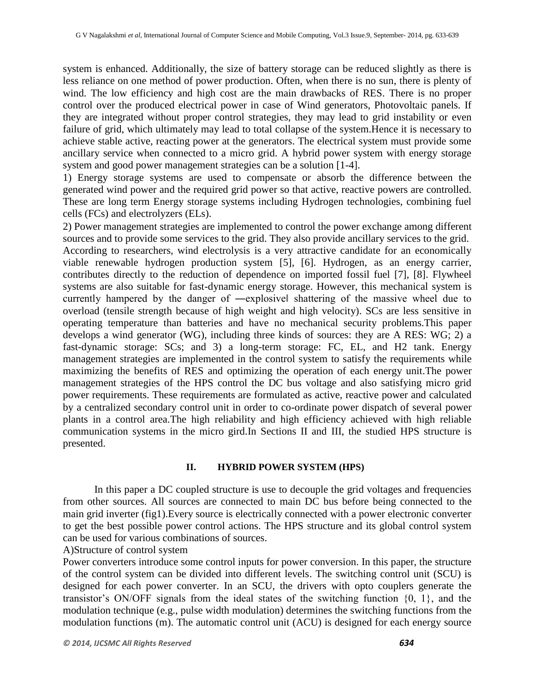system is enhanced. Additionally, the size of battery storage can be reduced slightly as there is less reliance on one method of power production. Often, when there is no sun, there is plenty of wind. The low efficiency and high cost are the main drawbacks of RES. There is no proper control over the produced electrical power in case of Wind generators, Photovoltaic panels. If they are integrated without proper control strategies, they may lead to grid instability or even failure of grid, which ultimately may lead to total collapse of the system.Hence it is necessary to achieve stable active, reacting power at the generators. The electrical system must provide some ancillary service when connected to a micro grid. A hybrid power system with energy storage system and good power management strategies can be a solution [1-4].

1) Energy storage systems are used to compensate or absorb the difference between the generated wind power and the required grid power so that active, reactive powers are controlled. These are long term Energy storage systems including Hydrogen technologies, combining fuel cells (FCs) and electrolyzers (ELs).

2) Power management strategies are implemented to control the power exchange among different sources and to provide some services to the grid. They also provide ancillary services to the grid. According to researchers, wind electrolysis is a very attractive candidate for an economically viable renewable hydrogen production system [5], [6]. Hydrogen, as an energy carrier, contributes directly to the reduction of dependence on imported fossil fuel [7], [8]. Flywheel systems are also suitable for fast-dynamic energy storage. However, this mechanical system is currently hampered by the danger of ―explosive‖ shattering of the massive wheel due to overload (tensile strength because of high weight and high velocity). SCs are less sensitive in operating temperature than batteries and have no mechanical security problems.This paper develops a wind generator (WG), including three kinds of sources: they are A RES: WG; 2) a fast-dynamic storage: SCs; and 3) a long-term storage: FC, EL, and H2 tank. Energy management strategies are implemented in the control system to satisfy the requirements while maximizing the benefits of RES and optimizing the operation of each energy unit.The power management strategies of the HPS control the DC bus voltage and also satisfying micro grid power requirements. These requirements are formulated as active, reactive power and calculated by a centralized secondary control unit in order to co-ordinate power dispatch of several power plants in a control area.The high reliability and high efficiency achieved with high reliable communication systems in the micro gird.In Sections II and III, the studied HPS structure is presented.

#### **II. HYBRID POWER SYSTEM (HPS)**

In this paper a DC coupled structure is use to decouple the grid voltages and frequencies from other sources. All sources are connected to main DC bus before being connected to the main grid inverter (fig1).Every source is electrically connected with a power electronic converter to get the best possible power control actions. The HPS structure and its global control system can be used for various combinations of sources.

### A)Structure of control system

Power converters introduce some control inputs for power conversion. In this paper, the structure of the control system can be divided into different levels. The switching control unit (SCU) is designed for each power converter. In an SCU, the drivers with opto couplers generate the transistor's ON/OFF signals from the ideal states of the switching function {0, 1}, and the modulation technique (e.g., pulse width modulation) determines the switching functions from the modulation functions (m). The automatic control unit (ACU) is designed for each energy source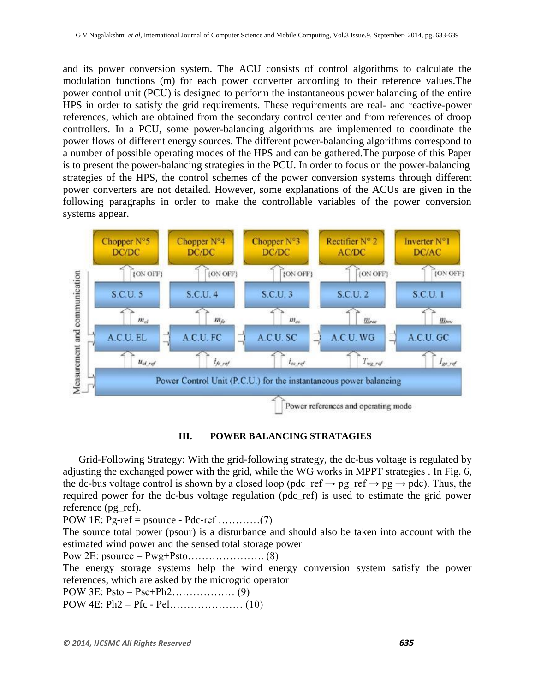and its power conversion system. The ACU consists of control algorithms to calculate the modulation functions (m) for each power converter according to their reference values.The power control unit (PCU) is designed to perform the instantaneous power balancing of the entire HPS in order to satisfy the grid requirements. These requirements are real- and reactive-power references, which are obtained from the secondary control center and from references of droop controllers. In a PCU, some power-balancing algorithms are implemented to coordinate the power flows of different energy sources. The different power-balancing algorithms correspond to a number of possible operating modes of the HPS and can be gathered.The purpose of this Paper is to present the power-balancing strategies in the PCU. In order to focus on the power-balancing strategies of the HPS, the control schemes of the power conversion systems through different power converters are not detailed. However, some explanations of the ACUs are given in the following paragraphs in order to make the controllable variables of the power conversion systems appear.



**III. POWER BALANCING STRATAGIES**

Grid-Following Strategy: With the grid-following strategy, the dc-bus voltage is regulated by adjusting the exchanged power with the grid, while the WG works in MPPT strategies . In Fig. 6, the dc-bus voltage control is shown by a closed loop (pdc\_ref  $\rightarrow$  pg\_ref  $\rightarrow$  pg  $\rightarrow$  pdc). Thus, the required power for the dc-bus voltage regulation (pdc\_ref) is used to estimate the grid power reference (pg\_ref).

POW 1E: Pg-ref = psource - Pdc-ref …………(7)

The source total power (psour) is a disturbance and should also be taken into account with the estimated wind power and the sensed total storage power

Pow 2E: psource = Pwg+Psto…………………. (8)

The energy storage systems help the wind energy conversion system satisfy the power references, which are asked by the microgrid operator

POW 3E: Psto = Psc+Ph2……………… (9)

POW 4E: Ph2 = Pfc - Pel………………… (10)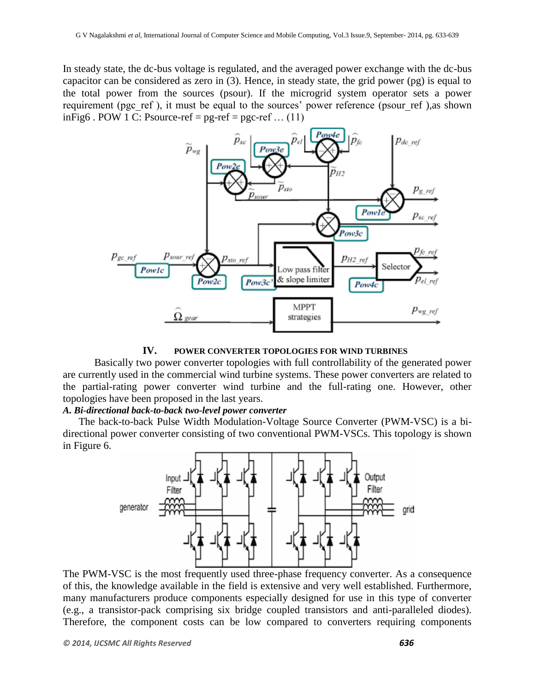In steady state, the dc-bus voltage is regulated, and the averaged power exchange with the dc-bus capacitor can be considered as zero in (3). Hence, in steady state, the grid power (pg) is equal to the total power from the sources (psour). If the microgrid system operator sets a power requirement (pgc\_ref ), it must be equal to the sources' power reference (psour\_ref ),as shown inFig6 . POW 1 C: Psource-ref =  $pg$ -ref =  $pg$ -ref ... (11)



**IV. POWER CONVERTER TOPOLOGIES FOR WIND TURBINES**

Basically two power converter topologies with full controllability of the generated power are currently used in the commercial wind turbine systems. These power converters are related to the partial-rating power converter wind turbine and the full-rating one. However, other topologies have been proposed in the last years.

#### *A. Bi-directional back-to-back two-level power converter*

The back-to-back Pulse Width Modulation-Voltage Source Converter (PWM-VSC) is a bidirectional power converter consisting of two conventional PWM-VSCs. This topology is shown in Figure 6.



The PWM-VSC is the most frequently used three-phase frequency converter. As a consequence of this, the knowledge available in the field is extensive and very well established. Furthermore, many manufacturers produce components especially designed for use in this type of converter (e.g., a transistor-pack comprising six bridge coupled transistors and anti-paralleled diodes). Therefore, the component costs can be low compared to converters requiring components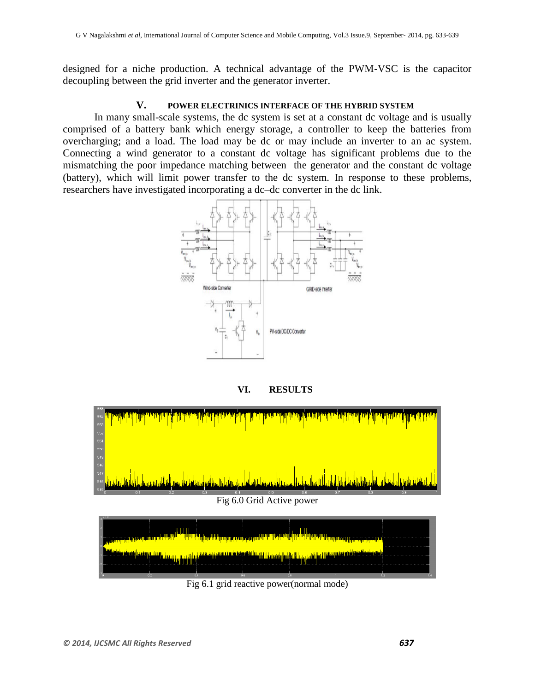designed for a niche production. A technical advantage of the PWM-VSC is the capacitor decoupling between the grid inverter and the generator inverter.

## **V. POWER ELECTRINICS INTERFACE OF THE HYBRID SYSTEM**

In many small-scale systems, the dc system is set at a constant dc voltage and is usually comprised of a battery bank which energy storage, a controller to keep the batteries from overcharging; and a load. The load may be dc or may include an inverter to an ac system. Connecting a wind generator to a constant dc voltage has significant problems due to the mismatching the poor impedance matching between the generator and the constant dc voltage (battery), which will limit power transfer to the dc system. In response to these problems, researchers have investigated incorporating a dc–dc converter in the dc link.



**VI. RESULTS**



Fig 6.1 grid reactive power(normal mode)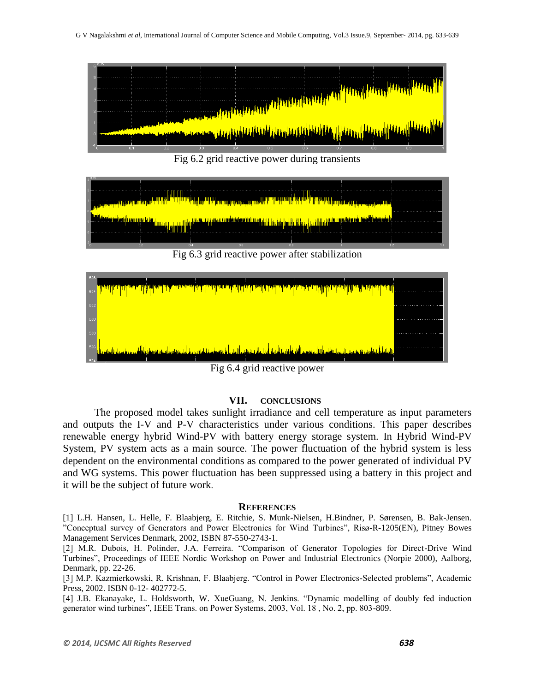

Fig 6.2 grid reactive power during transients



Fig 6.3 grid reactive power after stabilization



Fig 6.4 grid reactive power

## **VII. CONCLUSIONS**

The proposed model takes sunlight irradiance and cell temperature as input parameters and outputs the I-V and P-V characteristics under various conditions. This paper describes renewable energy hybrid Wind-PV with battery energy storage system. In Hybrid Wind-PV System, PV system acts as a main source. The power fluctuation of the hybrid system is less dependent on the environmental conditions as compared to the power generated of individual PV and WG systems. This power fluctuation has been suppressed using a battery in this project and it will be the subject of future work.

#### **REFERENCES**

[1] L.H. Hansen, L. Helle, F. Blaabjerg, E. Ritchie, S. Munk-Nielsen, H.Bindner, P. Sørensen, B. Bak-Jensen. "Conceptual survey of Generators and Power Electronics for Wind Turbines", Risø-R-1205(EN), Pitney Bowes Management Services Denmark, 2002, ISBN 87-550-2743-1.

[2] M.R. Dubois, H. Polinder, J.A. Ferreira. "Comparison of Generator Topologies for Direct-Drive Wind Turbines", Proceedings of IEEE Nordic Workshop on Power and Industrial Electronics (Norpie 2000), Aalborg, Denmark, pp. 22-26.

[3] M.P. Kazmierkowski, R. Krishnan, F. Blaabjerg. "Control in Power Electronics-Selected problems", Academic Press, 2002. ISBN 0-12- 402772-5.

[4] J.B. Ekanayake, L. Holdsworth, W. XueGuang, N. Jenkins. "Dynamic modelling of doubly fed induction generator wind turbines", IEEE Trans. on Power Systems, 2003, Vol. 18 , No. 2, pp. 803-809.